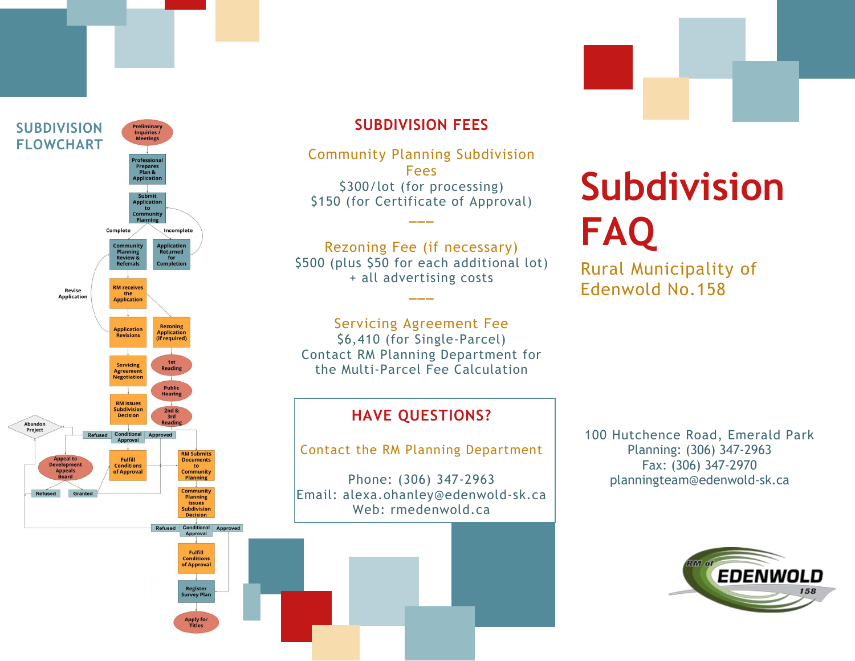

# **SUBDIVISION FEES**

Community Planning Subdivision Fees \$300/lot (for processing) \$150 (for Certificate of Approval)

Rezoning Fee (if necessary)

**\_\_\_**

\$500 (plus \$50 for each additional lot) + all advertising costs **\_\_\_**

Servicing Agreement Fee \$6,410 (for Single -Parcel) Contact RM Planning Department for the Multi -Parcel Fee Calculation

## **HAVE QUESTIONS?**

Contact the RM Planning Department

Phone: (306) 347 -2963 Email: alexa.ohanley@edenwold -sk.ca Web: rmedenwold.ca

100 Hutchence Road, Emerald Park Planning: (306) 347-2963 Fax: (306) 347 -2970 planningteam@edenwold -sk.ca



# **Subdivision FAQ**

Rural Municipality of Edenwold No.158